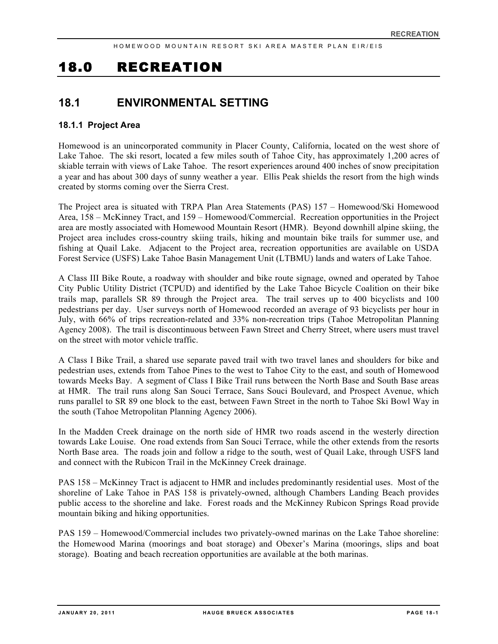# 18.0 RECREATION

## **18.1 ENVIRONMENTAL SETTING**

## **18.1.1 Project Area**

Homewood is an unincorporated community in Placer County, California, located on the west shore of Lake Tahoe. The ski resort, located a few miles south of Tahoe City, has approximately 1,200 acres of skiable terrain with views of Lake Tahoe. The resort experiences around 400 inches of snow precipitation a year and has about 300 days of sunny weather a year. Ellis Peak shields the resort from the high winds created by storms coming over the Sierra Crest.

The Project area is situated with TRPA Plan Area Statements (PAS) 157 – Homewood/Ski Homewood Area, 158 – McKinney Tract, and 159 – Homewood/Commercial. Recreation opportunities in the Project area are mostly associated with Homewood Mountain Resort (HMR). Beyond downhill alpine skiing, the Project area includes cross-country skiing trails, hiking and mountain bike trails for summer use, and fishing at Quail Lake. Adjacent to the Project area, recreation opportunities are available on USDA Forest Service (USFS) Lake Tahoe Basin Management Unit (LTBMU) lands and waters of Lake Tahoe.

A Class III Bike Route, a roadway with shoulder and bike route signage, owned and operated by Tahoe City Public Utility District (TCPUD) and identified by the Lake Tahoe Bicycle Coalition on their bike trails map, parallels SR 89 through the Project area. The trail serves up to 400 bicyclists and 100 pedestrians per day. User surveys north of Homewood recorded an average of 93 bicyclists per hour in July, with 66% of trips recreation-related and 33% non-recreation trips (Tahoe Metropolitan Planning Agency 2008). The trail is discontinuous between Fawn Street and Cherry Street, where users must travel on the street with motor vehicle traffic.

A Class I Bike Trail, a shared use separate paved trail with two travel lanes and shoulders for bike and pedestrian uses, extends from Tahoe Pines to the west to Tahoe City to the east, and south of Homewood towards Meeks Bay. A segment of Class I Bike Trail runs between the North Base and South Base areas at HMR. The trail runs along San Souci Terrace, Sans Souci Boulevard, and Prospect Avenue, which runs parallel to SR 89 one block to the east, between Fawn Street in the north to Tahoe Ski Bowl Way in the south (Tahoe Metropolitan Planning Agency 2006).

In the Madden Creek drainage on the north side of HMR two roads ascend in the westerly direction towards Lake Louise. One road extends from San Souci Terrace, while the other extends from the resorts North Base area. The roads join and follow a ridge to the south, west of Quail Lake, through USFS land and connect with the Rubicon Trail in the McKinney Creek drainage.

PAS 158 – McKinney Tract is adjacent to HMR and includes predominantly residential uses. Most of the shoreline of Lake Tahoe in PAS 158 is privately-owned, although Chambers Landing Beach provides public access to the shoreline and lake. Forest roads and the McKinney Rubicon Springs Road provide mountain biking and hiking opportunities.

PAS 159 – Homewood/Commercial includes two privately-owned marinas on the Lake Tahoe shoreline: the Homewood Marina (moorings and boat storage) and Obexer's Marina (moorings, slips and boat storage). Boating and beach recreation opportunities are available at the both marinas.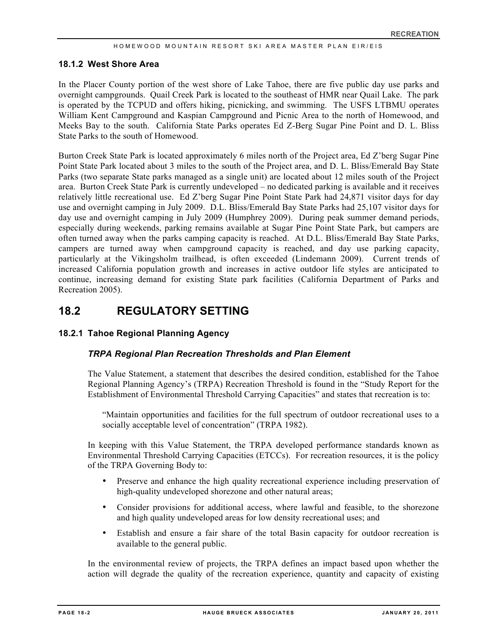## **18.1.2 West Shore Area**

In the Placer County portion of the west shore of Lake Tahoe, there are five public day use parks and overnight campgrounds. Quail Creek Park is located to the southeast of HMR near Quail Lake. The park is operated by the TCPUD and offers hiking, picnicking, and swimming. The USFS LTBMU operates William Kent Campground and Kaspian Campground and Picnic Area to the north of Homewood, and Meeks Bay to the south. California State Parks operates Ed Z-Berg Sugar Pine Point and D. L. Bliss State Parks to the south of Homewood.

Burton Creek State Park is located approximately 6 miles north of the Project area, Ed Z'berg Sugar Pine Point State Park located about 3 miles to the south of the Project area, and D. L. Bliss/Emerald Bay State Parks (two separate State parks managed as a single unit) are located about 12 miles south of the Project area. Burton Creek State Park is currently undeveloped – no dedicated parking is available and it receives relatively little recreational use. Ed Z'berg Sugar Pine Point State Park had 24,871 visitor days for day use and overnight camping in July 2009. D.L. Bliss/Emerald Bay State Parks had 25,107 visitor days for day use and overnight camping in July 2009 (Humphrey 2009). During peak summer demand periods, especially during weekends, parking remains available at Sugar Pine Point State Park, but campers are often turned away when the parks camping capacity is reached. At D.L. Bliss/Emerald Bay State Parks, campers are turned away when campground capacity is reached, and day use parking capacity, particularly at the Vikingsholm trailhead, is often exceeded (Lindemann 2009). Current trends of increased California population growth and increases in active outdoor life styles are anticipated to continue, increasing demand for existing State park facilities (California Department of Parks and Recreation 2005).

## **18.2 REGULATORY SETTING**

## **18.2.1 Tahoe Regional Planning Agency**

## *TRPA Regional Plan Recreation Thresholds and Plan Element*

The Value Statement, a statement that describes the desired condition, established for the Tahoe Regional Planning Agency's (TRPA) Recreation Threshold is found in the "Study Report for the Establishment of Environmental Threshold Carrying Capacities" and states that recreation is to:

"Maintain opportunities and facilities for the full spectrum of outdoor recreational uses to a socially acceptable level of concentration" (TRPA 1982).

In keeping with this Value Statement, the TRPA developed performance standards known as Environmental Threshold Carrying Capacities (ETCCs). For recreation resources, it is the policy of the TRPA Governing Body to:

- Preserve and enhance the high quality recreational experience including preservation of high-quality undeveloped shorezone and other natural areas;
- Consider provisions for additional access, where lawful and feasible, to the shorezone and high quality undeveloped areas for low density recreational uses; and
- Establish and ensure a fair share of the total Basin capacity for outdoor recreation is available to the general public.

In the environmental review of projects, the TRPA defines an impact based upon whether the action will degrade the quality of the recreation experience, quantity and capacity of existing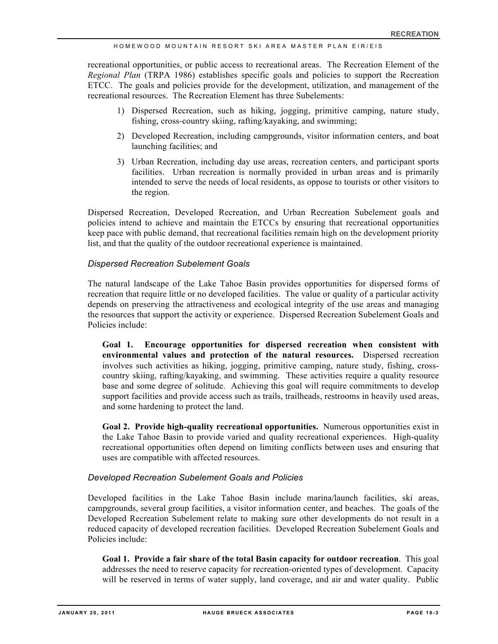recreational opportunities, or public access to recreational areas. The Recreation Element of the *Regional Plan* (TRPA 1986) establishes specific goals and policies to support the Recreation ETCC. The goals and policies provide for the development, utilization, and management of the recreational resources. The Recreation Element has three Subelements:

- 1) Dispersed Recreation, such as hiking, jogging, primitive camping, nature study, fishing, cross-country skiing, rafting/kayaking, and swimming;
- 2) Developed Recreation, including campgrounds, visitor information centers, and boat launching facilities; and
- 3) Urban Recreation, including day use areas, recreation centers, and participant sports facilities. Urban recreation is normally provided in urban areas and is primarily intended to serve the needs of local residents, as oppose to tourists or other visitors to the region.

Dispersed Recreation, Developed Recreation, and Urban Recreation Subelement goals and policies intend to achieve and maintain the ETCCs by ensuring that recreational opportunities keep pace with public demand, that recreational facilities remain high on the development priority list, and that the quality of the outdoor recreational experience is maintained.

## *Dispersed Recreation Subelement Goals*

The natural landscape of the Lake Tahoe Basin provides opportunities for dispersed forms of recreation that require little or no developed facilities. The value or quality of a particular activity depends on preserving the attractiveness and ecological integrity of the use areas and managing the resources that support the activity or experience. Dispersed Recreation Subelement Goals and Policies include:

**Goal 1. Encourage opportunities for dispersed recreation when consistent with environmental values and protection of the natural resources.** Dispersed recreation involves such activities as hiking, jogging, primitive camping, nature study, fishing, crosscountry skiing, rafting/kayaking, and swimming. These activities require a quality resource base and some degree of solitude. Achieving this goal will require commitments to develop support facilities and provide access such as trails, trailheads, restrooms in heavily used areas, and some hardening to protect the land.

**Goal 2. Provide high-quality recreational opportunities.** Numerous opportunities exist in the Lake Tahoe Basin to provide varied and quality recreational experiences. High-quality recreational opportunities often depend on limiting conflicts between uses and ensuring that uses are compatible with affected resources.

#### *Developed Recreation Subelement Goals and Policies*

Developed facilities in the Lake Tahoe Basin include marina/launch facilities, ski areas, campgrounds, several group facilities, a visitor information center, and beaches. The goals of the Developed Recreation Subelement relate to making sure other developments do not result in a reduced capacity of developed recreation facilities. Developed Recreation Subelement Goals and Policies include:

**Goal 1. Provide a fair share of the total Basin capacity for outdoor recreation**. This goal addresses the need to reserve capacity for recreation-oriented types of development. Capacity will be reserved in terms of water supply, land coverage, and air and water quality. Public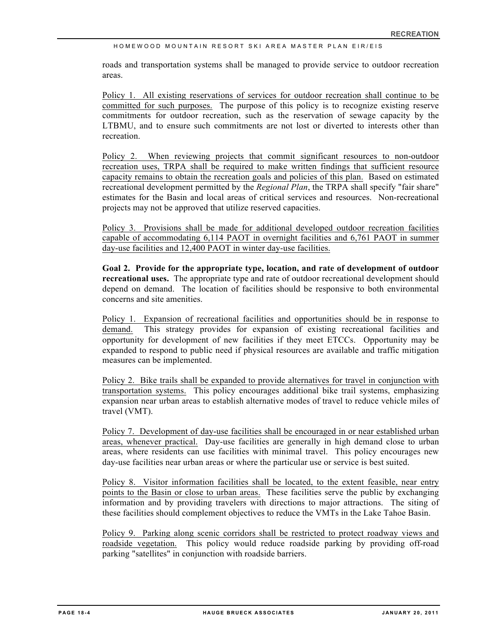roads and transportation systems shall be managed to provide service to outdoor recreation areas.

Policy 1. All existing reservations of services for outdoor recreation shall continue to be committed for such purposes. The purpose of this policy is to recognize existing reserve commitments for outdoor recreation, such as the reservation of sewage capacity by the LTBMU, and to ensure such commitments are not lost or diverted to interests other than recreation.

Policy 2. When reviewing projects that commit significant resources to non-outdoor recreation uses, TRPA shall be required to make written findings that sufficient resource capacity remains to obtain the recreation goals and policies of this plan. Based on estimated recreational development permitted by the *Regional Plan*, the TRPA shall specify "fair share" estimates for the Basin and local areas of critical services and resources. Non-recreational projects may not be approved that utilize reserved capacities.

Policy 3. Provisions shall be made for additional developed outdoor recreation facilities capable of accommodating 6,114 PAOT in overnight facilities and 6,761 PAOT in summer day-use facilities and 12,400 PAOT in winter day-use facilities.

**Goal 2. Provide for the appropriate type, location, and rate of development of outdoor recreational uses.** The appropriate type and rate of outdoor recreational development should depend on demand. The location of facilities should be responsive to both environmental concerns and site amenities.

Policy 1. Expansion of recreational facilities and opportunities should be in response to demand. This strategy provides for expansion of existing recreational facilities and opportunity for development of new facilities if they meet ETCCs. Opportunity may be expanded to respond to public need if physical resources are available and traffic mitigation measures can be implemented.

Policy 2. Bike trails shall be expanded to provide alternatives for travel in conjunction with transportation systems. This policy encourages additional bike trail systems, emphasizing expansion near urban areas to establish alternative modes of travel to reduce vehicle miles of travel (VMT).

Policy 7. Development of day-use facilities shall be encouraged in or near established urban areas, whenever practical. Day-use facilities are generally in high demand close to urban areas, where residents can use facilities with minimal travel. This policy encourages new day-use facilities near urban areas or where the particular use or service is best suited.

Policy 8. Visitor information facilities shall be located, to the extent feasible, near entry points to the Basin or close to urban areas. These facilities serve the public by exchanging information and by providing travelers with directions to major attractions. The siting of these facilities should complement objectives to reduce the VMTs in the Lake Tahoe Basin.

Policy 9. Parking along scenic corridors shall be restricted to protect roadway views and roadside vegetation. This policy would reduce roadside parking by providing off-road parking "satellites" in conjunction with roadside barriers.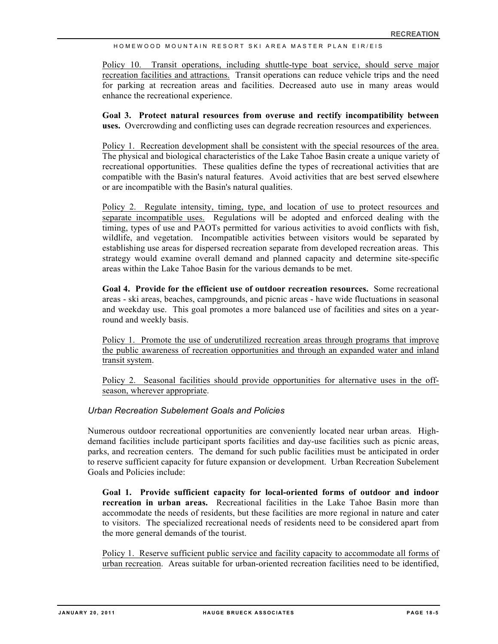Policy 10. Transit operations, including shuttle-type boat service, should serve major recreation facilities and attractions. Transit operations can reduce vehicle trips and the need for parking at recreation areas and facilities. Decreased auto use in many areas would enhance the recreational experience.

**Goal 3. Protect natural resources from overuse and rectify incompatibility between uses.** Overcrowding and conflicting uses can degrade recreation resources and experiences.

Policy 1. Recreation development shall be consistent with the special resources of the area. The physical and biological characteristics of the Lake Tahoe Basin create a unique variety of recreational opportunities. These qualities define the types of recreational activities that are compatible with the Basin's natural features. Avoid activities that are best served elsewhere or are incompatible with the Basin's natural qualities.

Policy 2. Regulate intensity, timing, type, and location of use to protect resources and separate incompatible uses. Regulations will be adopted and enforced dealing with the timing, types of use and PAOTs permitted for various activities to avoid conflicts with fish, wildlife, and vegetation. Incompatible activities between visitors would be separated by establishing use areas for dispersed recreation separate from developed recreation areas. This strategy would examine overall demand and planned capacity and determine site-specific areas within the Lake Tahoe Basin for the various demands to be met.

**Goal 4. Provide for the efficient use of outdoor recreation resources.** Some recreational areas - ski areas, beaches, campgrounds, and picnic areas - have wide fluctuations in seasonal and weekday use. This goal promotes a more balanced use of facilities and sites on a yearround and weekly basis.

Policy 1. Promote the use of underutilized recreation areas through programs that improve the public awareness of recreation opportunities and through an expanded water and inland transit system.

Policy 2. Seasonal facilities should provide opportunities for alternative uses in the offseason, wherever appropriate.

## *Urban Recreation Subelement Goals and Policies*

Numerous outdoor recreational opportunities are conveniently located near urban areas. Highdemand facilities include participant sports facilities and day-use facilities such as picnic areas, parks, and recreation centers. The demand for such public facilities must be anticipated in order to reserve sufficient capacity for future expansion or development. Urban Recreation Subelement Goals and Policies include:

**Goal 1. Provide sufficient capacity for local-oriented forms of outdoor and indoor recreation in urban areas.** Recreational facilities in the Lake Tahoe Basin more than accommodate the needs of residents, but these facilities are more regional in nature and cater to visitors. The specialized recreational needs of residents need to be considered apart from the more general demands of the tourist.

Policy 1. Reserve sufficient public service and facility capacity to accommodate all forms of urban recreation. Areas suitable for urban-oriented recreation facilities need to be identified,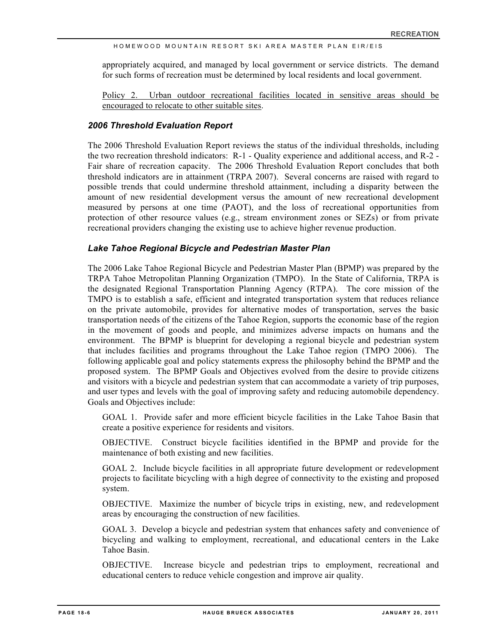appropriately acquired, and managed by local government or service districts. The demand for such forms of recreation must be determined by local residents and local government.

Policy 2. Urban outdoor recreational facilities located in sensitive areas should be encouraged to relocate to other suitable sites.

## *2006 Threshold Evaluation Report*

The 2006 Threshold Evaluation Report reviews the status of the individual thresholds, including the two recreation threshold indicators: R-1 - Quality experience and additional access, and R-2 - Fair share of recreation capacity. The 2006 Threshold Evaluation Report concludes that both threshold indicators are in attainment (TRPA 2007). Several concerns are raised with regard to possible trends that could undermine threshold attainment, including a disparity between the amount of new residential development versus the amount of new recreational development measured by persons at one time (PAOT), and the loss of recreational opportunities from protection of other resource values (e.g., stream environment zones or SEZs) or from private recreational providers changing the existing use to achieve higher revenue production.

## *Lake Tahoe Regional Bicycle and Pedestrian Master Plan*

The 2006 Lake Tahoe Regional Bicycle and Pedestrian Master Plan (BPMP) was prepared by the TRPA Tahoe Metropolitan Planning Organization (TMPO). In the State of California, TRPA is the designated Regional Transportation Planning Agency (RTPA). The core mission of the TMPO is to establish a safe, efficient and integrated transportation system that reduces reliance on the private automobile, provides for alternative modes of transportation, serves the basic transportation needs of the citizens of the Tahoe Region, supports the economic base of the region in the movement of goods and people, and minimizes adverse impacts on humans and the environment. The BPMP is blueprint for developing a regional bicycle and pedestrian system that includes facilities and programs throughout the Lake Tahoe region (TMPO 2006). The following applicable goal and policy statements express the philosophy behind the BPMP and the proposed system. The BPMP Goals and Objectives evolved from the desire to provide citizens and visitors with a bicycle and pedestrian system that can accommodate a variety of trip purposes, and user types and levels with the goal of improving safety and reducing automobile dependency. Goals and Objectives include:

GOAL 1. Provide safer and more efficient bicycle facilities in the Lake Tahoe Basin that create a positive experience for residents and visitors.

OBJECTIVE. Construct bicycle facilities identified in the BPMP and provide for the maintenance of both existing and new facilities.

GOAL 2. Include bicycle facilities in all appropriate future development or redevelopment projects to facilitate bicycling with a high degree of connectivity to the existing and proposed system.

OBJECTIVE. Maximize the number of bicycle trips in existing, new, and redevelopment areas by encouraging the construction of new facilities.

GOAL 3. Develop a bicycle and pedestrian system that enhances safety and convenience of bicycling and walking to employment, recreational, and educational centers in the Lake Tahoe Basin.

OBJECTIVE. Increase bicycle and pedestrian trips to employment, recreational and educational centers to reduce vehicle congestion and improve air quality.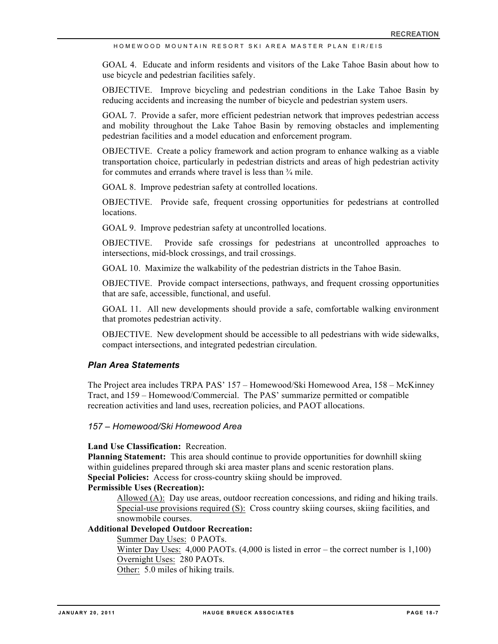GOAL 4. Educate and inform residents and visitors of the Lake Tahoe Basin about how to use bicycle and pedestrian facilities safely.

OBJECTIVE. Improve bicycling and pedestrian conditions in the Lake Tahoe Basin by reducing accidents and increasing the number of bicycle and pedestrian system users.

GOAL 7. Provide a safer, more efficient pedestrian network that improves pedestrian access and mobility throughout the Lake Tahoe Basin by removing obstacles and implementing pedestrian facilities and a model education and enforcement program.

OBJECTIVE. Create a policy framework and action program to enhance walking as a viable transportation choice, particularly in pedestrian districts and areas of high pedestrian activity for commutes and errands where travel is less than ¾ mile.

GOAL 8. Improve pedestrian safety at controlled locations.

OBJECTIVE. Provide safe, frequent crossing opportunities for pedestrians at controlled locations.

GOAL 9. Improve pedestrian safety at uncontrolled locations.

OBJECTIVE. Provide safe crossings for pedestrians at uncontrolled approaches to intersections, mid-block crossings, and trail crossings.

GOAL 10. Maximize the walkability of the pedestrian districts in the Tahoe Basin.

OBJECTIVE. Provide compact intersections, pathways, and frequent crossing opportunities that are safe, accessible, functional, and useful.

GOAL 11. All new developments should provide a safe, comfortable walking environment that promotes pedestrian activity.

OBJECTIVE. New development should be accessible to all pedestrians with wide sidewalks, compact intersections, and integrated pedestrian circulation.

#### *Plan Area Statements*

The Project area includes TRPA PAS' 157 – Homewood/Ski Homewood Area, 158 – McKinney Tract, and 159 – Homewood/Commercial. The PAS' summarize permitted or compatible recreation activities and land uses, recreation policies, and PAOT allocations.

### *157 – Homewood/Ski Homewood Area*

#### **Land Use Classification:** Recreation.

**Planning Statement:** This area should continue to provide opportunities for downhill skiing within guidelines prepared through ski area master plans and scenic restoration plans. **Special Policies:** Access for cross-country skiing should be improved.

## **Permissible Uses (Recreation):**

Allowed (A): Day use areas, outdoor recreation concessions, and riding and hiking trails. Special-use provisions required (S): Cross country skiing courses, skiing facilities, and snowmobile courses.

#### **Additional Developed Outdoor Recreation:**

Summer Day Uses: 0 PAOTs.

Winter Day Uses: 4,000 PAOTs. (4,000 is listed in error – the correct number is 1,100) Overnight Uses: 280 PAOTs.

Other: 5.0 miles of hiking trails.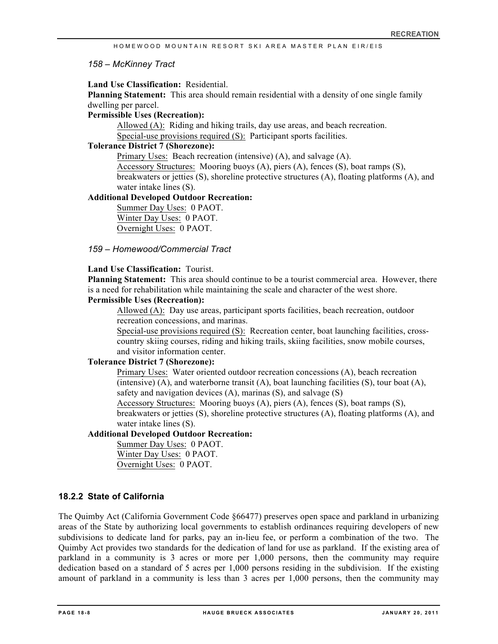### *158 – McKinney Tract*

## **Land Use Classification:** Residential.

**Planning Statement:** This area should remain residential with a density of one single family dwelling per parcel.

#### **Permissible Uses (Recreation):**

Allowed (A): Riding and hiking trails, day use areas, and beach recreation. Special-use provisions required (S): Participant sports facilities.

#### **Tolerance District 7 (Shorezone):**

Primary Uses: Beach recreation (intensive) (A), and salvage (A).

Accessory Structures: Mooring buoys (A), piers (A), fences (S), boat ramps (S), breakwaters or jetties (S), shoreline protective structures (A), floating platforms (A), and water intake lines (S).

## **Additional Developed Outdoor Recreation:**

Summer Day Uses: 0 PAOT. Winter Day Uses: 0 PAOT. Overnight Uses: 0 PAOT.

## *159 – Homewood/Commercial Tract*

## **Land Use Classification:** Tourist.

**Planning Statement:** This area should continue to be a tourist commercial area. However, there is a need for rehabilitation while maintaining the scale and character of the west shore.

## **Permissible Uses (Recreation):**

Allowed (A): Day use areas, participant sports facilities, beach recreation, outdoor recreation concessions, and marinas.

Special-use provisions required (S): Recreation center, boat launching facilities, crosscountry skiing courses, riding and hiking trails, skiing facilities, snow mobile courses, and visitor information center.

## **Tolerance District 7 (Shorezone):**

Primary Uses: Water oriented outdoor recreation concessions (A), beach recreation (intensive)  $(A)$ , and waterborne transit  $(A)$ , boat launching facilities  $(S)$ , tour boat  $(A)$ , safety and navigation devices (A), marinas (S), and salvage (S)

Accessory Structures: Mooring buoys (A), piers (A), fences (S), boat ramps (S), breakwaters or jetties (S), shoreline protective structures (A), floating platforms (A), and water intake lines (S).

## **Additional Developed Outdoor Recreation:**

Summer Day Uses: 0 PAOT. Winter Day Uses: 0 PAOT. Overnight Uses: 0 PAOT.

## **18.2.2 State of California**

The Quimby Act (California Government Code §66477) preserves open space and parkland in urbanizing areas of the State by authorizing local governments to establish ordinances requiring developers of new subdivisions to dedicate land for parks, pay an in-lieu fee, or perform a combination of the two. The Quimby Act provides two standards for the dedication of land for use as parkland. If the existing area of parkland in a community is 3 acres or more per 1,000 persons, then the community may require dedication based on a standard of 5 acres per 1,000 persons residing in the subdivision. If the existing amount of parkland in a community is less than 3 acres per 1,000 persons, then the community may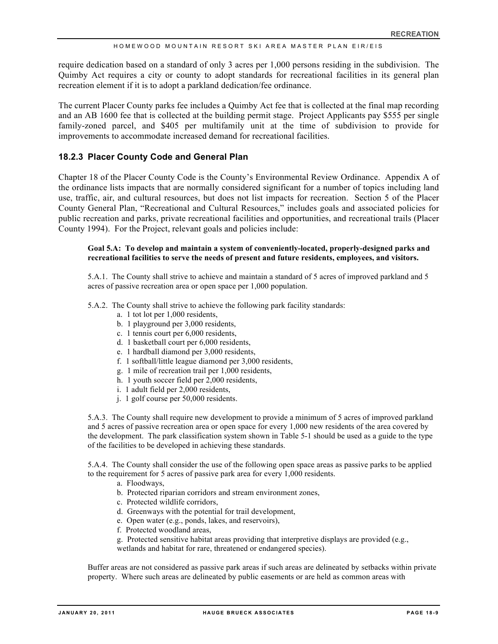require dedication based on a standard of only 3 acres per 1,000 persons residing in the subdivision. The Quimby Act requires a city or county to adopt standards for recreational facilities in its general plan recreation element if it is to adopt a parkland dedication/fee ordinance.

The current Placer County parks fee includes a Quimby Act fee that is collected at the final map recording and an AB 1600 fee that is collected at the building permit stage. Project Applicants pay \$555 per single family-zoned parcel, and \$405 per multifamily unit at the time of subdivision to provide for improvements to accommodate increased demand for recreational facilities.

## **18.2.3 Placer County Code and General Plan**

Chapter 18 of the Placer County Code is the County's Environmental Review Ordinance. Appendix A of the ordinance lists impacts that are normally considered significant for a number of topics including land use, traffic, air, and cultural resources, but does not list impacts for recreation. Section 5 of the Placer County General Plan, "Recreational and Cultural Resources," includes goals and associated policies for public recreation and parks, private recreational facilities and opportunities, and recreational trails (Placer County 1994). For the Project, relevant goals and policies include:

#### **Goal 5.A: To develop and maintain a system of conveniently-located, properly-designed parks and recreational facilities to serve the needs of present and future residents, employees, and visitors.**

5.A.1. The County shall strive to achieve and maintain a standard of 5 acres of improved parkland and 5 acres of passive recreation area or open space per 1,000 population.

- 5.A.2. The County shall strive to achieve the following park facility standards:
	- a. 1 tot lot per 1,000 residents,
	- b. 1 playground per 3,000 residents,
	- c. 1 tennis court per 6,000 residents,
	- d. 1 basketball court per 6,000 residents,
	- e. 1 hardball diamond per 3,000 residents,
	- f. 1 softball/little league diamond per 3,000 residents,
	- g. 1 mile of recreation trail per 1,000 residents,
	- h. 1 youth soccer field per 2,000 residents,
	- i. 1 adult field per 2,000 residents,
	- j. 1 golf course per 50,000 residents.

5.A.3. The County shall require new development to provide a minimum of 5 acres of improved parkland and 5 acres of passive recreation area or open space for every 1,000 new residents of the area covered by the development. The park classification system shown in Table 5-1 should be used as a guide to the type of the facilities to be developed in achieving these standards.

5.A.4. The County shall consider the use of the following open space areas as passive parks to be applied to the requirement for 5 acres of passive park area for every 1,000 residents.

- a. Floodways,
- b. Protected riparian corridors and stream environment zones,
- c. Protected wildlife corridors,
- d. Greenways with the potential for trail development,
- e. Open water (e.g., ponds, lakes, and reservoirs),
- f. Protected woodland areas,
- g. Protected sensitive habitat areas providing that interpretive displays are provided (e.g.,
- wetlands and habitat for rare, threatened or endangered species).

Buffer areas are not considered as passive park areas if such areas are delineated by setbacks within private property. Where such areas are delineated by public easements or are held as common areas with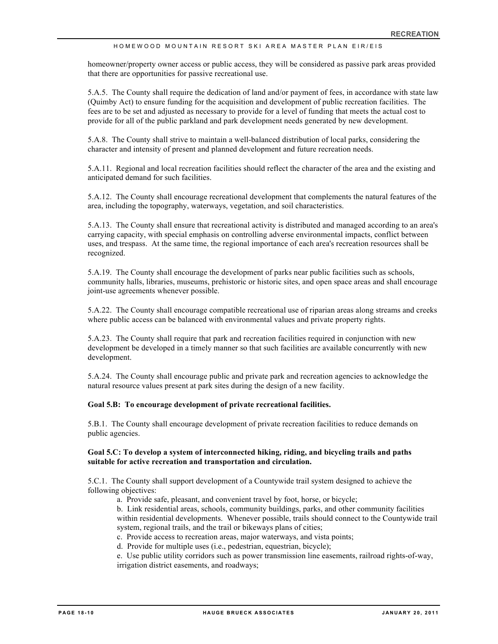homeowner/property owner access or public access, they will be considered as passive park areas provided that there are opportunities for passive recreational use.

5.A.5. The County shall require the dedication of land and/or payment of fees, in accordance with state law (Quimby Act) to ensure funding for the acquisition and development of public recreation facilities. The fees are to be set and adjusted as necessary to provide for a level of funding that meets the actual cost to provide for all of the public parkland and park development needs generated by new development.

5.A.8. The County shall strive to maintain a well-balanced distribution of local parks, considering the character and intensity of present and planned development and future recreation needs.

5.A.11. Regional and local recreation facilities should reflect the character of the area and the existing and anticipated demand for such facilities.

5.A.12. The County shall encourage recreational development that complements the natural features of the area, including the topography, waterways, vegetation, and soil characteristics.

5.A.13. The County shall ensure that recreational activity is distributed and managed according to an area's carrying capacity, with special emphasis on controlling adverse environmental impacts, conflict between uses, and trespass. At the same time, the regional importance of each area's recreation resources shall be recognized.

5.A.19. The County shall encourage the development of parks near public facilities such as schools, community halls, libraries, museums, prehistoric or historic sites, and open space areas and shall encourage joint-use agreements whenever possible.

5.A.22. The County shall encourage compatible recreational use of riparian areas along streams and creeks where public access can be balanced with environmental values and private property rights.

5.A.23. The County shall require that park and recreation facilities required in conjunction with new development be developed in a timely manner so that such facilities are available concurrently with new development.

5.A.24. The County shall encourage public and private park and recreation agencies to acknowledge the natural resource values present at park sites during the design of a new facility.

#### **Goal 5.B: To encourage development of private recreational facilities.**

5.B.1. The County shall encourage development of private recreation facilities to reduce demands on public agencies.

#### **Goal 5.C: To develop a system of interconnected hiking, riding, and bicycling trails and paths suitable for active recreation and transportation and circulation.**

5.C.1. The County shall support development of a Countywide trail system designed to achieve the following objectives:

a. Provide safe, pleasant, and convenient travel by foot, horse, or bicycle;

b. Link residential areas, schools, community buildings, parks, and other community facilities within residential developments. Whenever possible, trails should connect to the Countywide trail system, regional trails, and the trail or bikeways plans of cities;

c. Provide access to recreation areas, major waterways, and vista points;

d. Provide for multiple uses (i.e., pedestrian, equestrian, bicycle);

e. Use public utility corridors such as power transmission line easements, railroad rights-of-way, irrigation district easements, and roadways;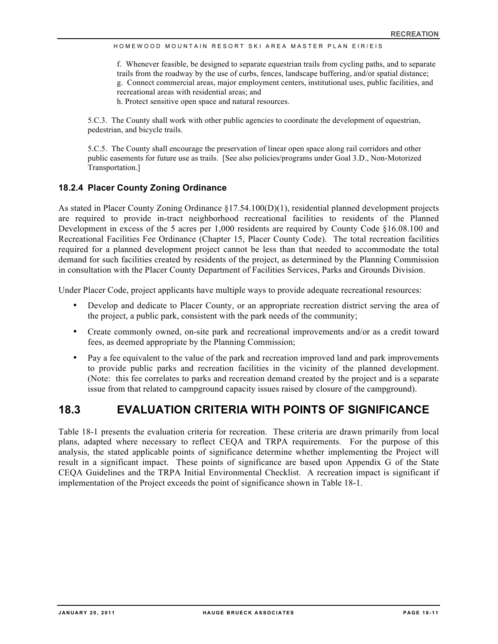f. Whenever feasible, be designed to separate equestrian trails from cycling paths, and to separate trails from the roadway by the use of curbs, fences, landscape buffering, and/or spatial distance; g. Connect commercial areas, major employment centers, institutional uses, public facilities, and recreational areas with residential areas; and

h. Protect sensitive open space and natural resources.

5.C.3. The County shall work with other public agencies to coordinate the development of equestrian, pedestrian, and bicycle trails.

5.C.5. The County shall encourage the preservation of linear open space along rail corridors and other public easements for future use as trails. [See also policies/programs under Goal 3.D., Non-Motorized Transportation.]

## **18.2.4 Placer County Zoning Ordinance**

As stated in Placer County Zoning Ordinance §17.54.100(D)(1), residential planned development projects are required to provide in-tract neighborhood recreational facilities to residents of the Planned Development in excess of the 5 acres per 1,000 residents are required by County Code §16.08.100 and Recreational Facilities Fee Ordinance (Chapter 15, Placer County Code). The total recreation facilities required for a planned development project cannot be less than that needed to accommodate the total demand for such facilities created by residents of the project, as determined by the Planning Commission in consultation with the Placer County Department of Facilities Services, Parks and Grounds Division.

Under Placer Code, project applicants have multiple ways to provide adequate recreational resources:

- Develop and dedicate to Placer County, or an appropriate recreation district serving the area of the project, a public park, consistent with the park needs of the community;
- Create commonly owned, on-site park and recreational improvements and/or as a credit toward fees, as deemed appropriate by the Planning Commission;
- Pay a fee equivalent to the value of the park and recreation improved land and park improvements to provide public parks and recreation facilities in the vicinity of the planned development. (Note: this fee correlates to parks and recreation demand created by the project and is a separate issue from that related to campground capacity issues raised by closure of the campground).

## **18.3 EVALUATION CRITERIA WITH POINTS OF SIGNIFICANCE**

Table 18-1 presents the evaluation criteria for recreation. These criteria are drawn primarily from local plans, adapted where necessary to reflect CEQA and TRPA requirements. For the purpose of this analysis, the stated applicable points of significance determine whether implementing the Project will result in a significant impact. These points of significance are based upon Appendix G of the State CEQA Guidelines and the TRPA Initial Environmental Checklist. A recreation impact is significant if implementation of the Project exceeds the point of significance shown in Table 18-1.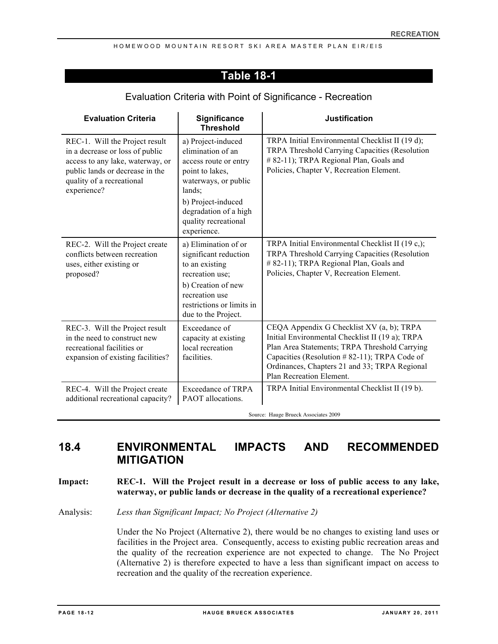## **Table 18-1**

| <b>Evaluation Criteria</b>                                                                                                                                                           | Significance<br><b>Threshold</b>                                                                                                                                                                            | <b>Justification</b>                                                                                                                                                                                                                                                       |
|--------------------------------------------------------------------------------------------------------------------------------------------------------------------------------------|-------------------------------------------------------------------------------------------------------------------------------------------------------------------------------------------------------------|----------------------------------------------------------------------------------------------------------------------------------------------------------------------------------------------------------------------------------------------------------------------------|
| REC-1. Will the Project result<br>in a decrease or loss of public<br>access to any lake, waterway, or<br>public lands or decrease in the<br>quality of a recreational<br>experience? | a) Project-induced<br>elimination of an<br>access route or entry<br>point to lakes,<br>waterways, or public<br>lands;<br>b) Project-induced<br>degradation of a high<br>quality recreational<br>experience. | TRPA Initial Environmental Checklist II (19 d);<br>TRPA Threshold Carrying Capacities (Resolution<br># 82-11); TRPA Regional Plan, Goals and<br>Policies, Chapter V, Recreation Element.                                                                                   |
| REC-2. Will the Project create<br>conflicts between recreation<br>uses, either existing or<br>proposed?                                                                              | a) Elimination of or<br>significant reduction<br>to an existing<br>recreation use;<br>b) Creation of new<br>recreation use<br>restrictions or limits in<br>due to the Project.                              | TRPA Initial Environmental Checklist II (19 c,);<br>TRPA Threshold Carrying Capacities (Resolution<br># 82-11); TRPA Regional Plan, Goals and<br>Policies, Chapter V, Recreation Element.                                                                                  |
| REC-3. Will the Project result<br>in the need to construct new<br>recreational facilities or<br>expansion of existing facilities?                                                    | Exceedance of<br>capacity at existing<br>local recreation<br>facilities.                                                                                                                                    | CEQA Appendix G Checklist XV (a, b); TRPA<br>Initial Environmental Checklist II (19 a); TRPA<br>Plan Area Statements; TRPA Threshold Carrying<br>Capacities (Resolution #82-11); TRPA Code of<br>Ordinances, Chapters 21 and 33; TRPA Regional<br>Plan Recreation Element. |
| REC-4. Will the Project create<br>additional recreational capacity?                                                                                                                  | <b>Exceedance of TRPA</b><br>PAOT allocations.                                                                                                                                                              | TRPA Initial Environmental Checklist II (19 b).                                                                                                                                                                                                                            |

## Evaluation Criteria with Point of Significance - Recreation

Source: Hauge Brueck Associates 2009

## **18.4 ENVIRONMENTAL IMPACTS AND RECOMMENDED MITIGATION**

## **Impact: REC-1. Will the Project result in a decrease or loss of public access to any lake, waterway, or public lands or decrease in the quality of a recreational experience?**

Analysis: *Less than Significant Impact; No Project (Alternative 2)*

Under the No Project (Alternative 2), there would be no changes to existing land uses or facilities in the Project area. Consequently, access to existing public recreation areas and the quality of the recreation experience are not expected to change. The No Project (Alternative 2) is therefore expected to have a less than significant impact on access to recreation and the quality of the recreation experience.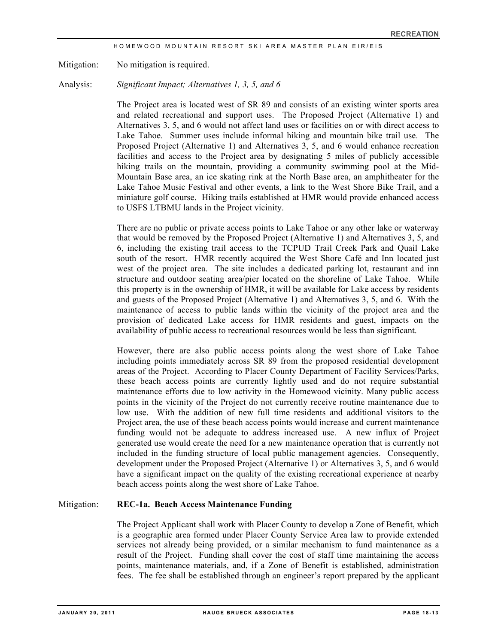Mitigation: No mitigation is required.

Analysis: *Significant Impact; Alternatives 1, 3, 5, and 6*

The Project area is located west of SR 89 and consists of an existing winter sports area and related recreational and support uses. The Proposed Project (Alternative 1) and Alternatives 3, 5, and 6 would not affect land uses or facilities on or with direct access to Lake Tahoe. Summer uses include informal hiking and mountain bike trail use. The Proposed Project (Alternative 1) and Alternatives 3, 5, and 6 would enhance recreation facilities and access to the Project area by designating 5 miles of publicly accessible hiking trails on the mountain, providing a community swimming pool at the Mid-Mountain Base area, an ice skating rink at the North Base area, an amphitheater for the Lake Tahoe Music Festival and other events, a link to the West Shore Bike Trail, and a miniature golf course. Hiking trails established at HMR would provide enhanced access to USFS LTBMU lands in the Project vicinity.

There are no public or private access points to Lake Tahoe or any other lake or waterway that would be removed by the Proposed Project (Alternative 1) and Alternatives 3, 5, and 6, including the existing trail access to the TCPUD Trail Creek Park and Quail Lake south of the resort. HMR recently acquired the West Shore Café and Inn located just west of the project area. The site includes a dedicated parking lot, restaurant and inn structure and outdoor seating area/pier located on the shoreline of Lake Tahoe. While this property is in the ownership of HMR, it will be available for Lake access by residents and guests of the Proposed Project (Alternative 1) and Alternatives 3, 5, and 6. With the maintenance of access to public lands within the vicinity of the project area and the provision of dedicated Lake access for HMR residents and guest, impacts on the availability of public access to recreational resources would be less than significant.

However, there are also public access points along the west shore of Lake Tahoe including points immediately across SR 89 from the proposed residential development areas of the Project. According to Placer County Department of Facility Services/Parks, these beach access points are currently lightly used and do not require substantial maintenance efforts due to low activity in the Homewood vicinity. Many public access points in the vicinity of the Project do not currently receive routine maintenance due to low use. With the addition of new full time residents and additional visitors to the Project area, the use of these beach access points would increase and current maintenance funding would not be adequate to address increased use. A new influx of Project generated use would create the need for a new maintenance operation that is currently not included in the funding structure of local public management agencies. Consequently, development under the Proposed Project (Alternative 1) or Alternatives 3, 5, and 6 would have a significant impact on the quality of the existing recreational experience at nearby beach access points along the west shore of Lake Tahoe.

#### Mitigation: **REC-1a. Beach Access Maintenance Funding**

The Project Applicant shall work with Placer County to develop a Zone of Benefit, which is a geographic area formed under Placer County Service Area law to provide extended services not already being provided, or a similar mechanism to fund maintenance as a result of the Project. Funding shall cover the cost of staff time maintaining the access points, maintenance materials, and, if a Zone of Benefit is established, administration fees. The fee shall be established through an engineer's report prepared by the applicant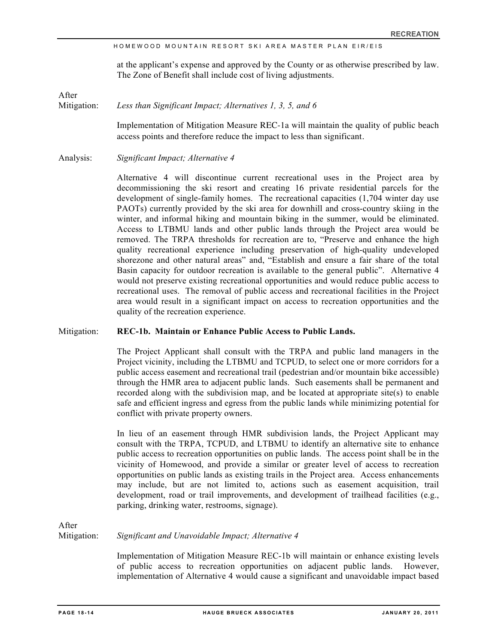at the applicant's expense and approved by the County or as otherwise prescribed by law. The Zone of Benefit shall include cost of living adjustments.

After

Mitigation: *Less than Significant Impact; Alternatives 1, 3, 5, and 6*

Implementation of Mitigation Measure REC-1a will maintain the quality of public beach access points and therefore reduce the impact to less than significant.

Analysis: *Significant Impact; Alternative 4*

Alternative 4 will discontinue current recreational uses in the Project area by decommissioning the ski resort and creating 16 private residential parcels for the development of single-family homes. The recreational capacities (1,704 winter day use PAOTs) currently provided by the ski area for downhill and cross-country skiing in the winter, and informal hiking and mountain biking in the summer, would be eliminated. Access to LTBMU lands and other public lands through the Project area would be removed. The TRPA thresholds for recreation are to, "Preserve and enhance the high quality recreational experience including preservation of high-quality undeveloped shorezone and other natural areas" and, "Establish and ensure a fair share of the total Basin capacity for outdoor recreation is available to the general public". Alternative 4 would not preserve existing recreational opportunities and would reduce public access to recreational uses. The removal of public access and recreational facilities in the Project area would result in a significant impact on access to recreation opportunities and the quality of the recreation experience.

#### Mitigation: **REC-1b. Maintain or Enhance Public Access to Public Lands.**

The Project Applicant shall consult with the TRPA and public land managers in the Project vicinity, including the LTBMU and TCPUD, to select one or more corridors for a public access easement and recreational trail (pedestrian and/or mountain bike accessible) through the HMR area to adjacent public lands. Such easements shall be permanent and recorded along with the subdivision map, and be located at appropriate site(s) to enable safe and efficient ingress and egress from the public lands while minimizing potential for conflict with private property owners.

In lieu of an easement through HMR subdivision lands, the Project Applicant may consult with the TRPA, TCPUD, and LTBMU to identify an alternative site to enhance public access to recreation opportunities on public lands. The access point shall be in the vicinity of Homewood, and provide a similar or greater level of access to recreation opportunities on public lands as existing trails in the Project area. Access enhancements may include, but are not limited to, actions such as easement acquisition, trail development, road or trail improvements, and development of trailhead facilities (e.g., parking, drinking water, restrooms, signage).

After

Mitigation: *Significant and Unavoidable Impact; Alternative 4*

Implementation of Mitigation Measure REC-1b will maintain or enhance existing levels of public access to recreation opportunities on adjacent public lands. However, implementation of Alternative 4 would cause a significant and unavoidable impact based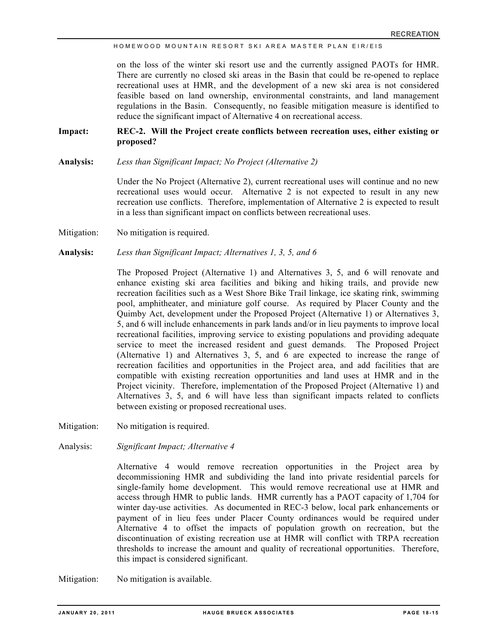on the loss of the winter ski resort use and the currently assigned PAOTs for HMR. There are currently no closed ski areas in the Basin that could be re-opened to replace recreational uses at HMR, and the development of a new ski area is not considered feasible based on land ownership, environmental constraints, and land management regulations in the Basin. Consequently, no feasible mitigation measure is identified to reduce the significant impact of Alternative 4 on recreational access.

**Impact: REC-2. Will the Project create conflicts between recreation uses, either existing or proposed?**

**Analysis:** *Less than Significant Impact; No Project (Alternative 2)*

Under the No Project (Alternative 2), current recreational uses will continue and no new recreational uses would occur. Alternative 2 is not expected to result in any new recreation use conflicts. Therefore, implementation of Alternative 2 is expected to result in a less than significant impact on conflicts between recreational uses.

Mitigation: No mitigation is required.

**Analysis:** *Less than Significant Impact; Alternatives 1, 3, 5, and 6*

The Proposed Project (Alternative 1) and Alternatives 3, 5, and 6 will renovate and enhance existing ski area facilities and biking and hiking trails, and provide new recreation facilities such as a West Shore Bike Trail linkage, ice skating rink, swimming pool, amphitheater, and miniature golf course. As required by Placer County and the Quimby Act, development under the Proposed Project (Alternative 1) or Alternatives 3, 5, and 6 will include enhancements in park lands and/or in lieu payments to improve local recreational facilities, improving service to existing populations and providing adequate service to meet the increased resident and guest demands. The Proposed Project (Alternative 1) and Alternatives 3, 5, and 6 are expected to increase the range of recreation facilities and opportunities in the Project area, and add facilities that are compatible with existing recreation opportunities and land uses at HMR and in the Project vicinity. Therefore, implementation of the Proposed Project (Alternative 1) and Alternatives 3, 5, and 6 will have less than significant impacts related to conflicts between existing or proposed recreational uses.

- Mitigation: No mitigation is required.
- Analysis: *Significant Impact; Alternative 4*

Alternative 4 would remove recreation opportunities in the Project area by decommissioning HMR and subdividing the land into private residential parcels for single-family home development. This would remove recreational use at HMR and access through HMR to public lands. HMR currently has a PAOT capacity of 1,704 for winter day-use activities. As documented in REC-3 below, local park enhancements or payment of in lieu fees under Placer County ordinances would be required under Alternative 4 to offset the impacts of population growth on recreation, but the discontinuation of existing recreation use at HMR will conflict with TRPA recreation thresholds to increase the amount and quality of recreational opportunities. Therefore, this impact is considered significant.

Mitigation: No mitigation is available.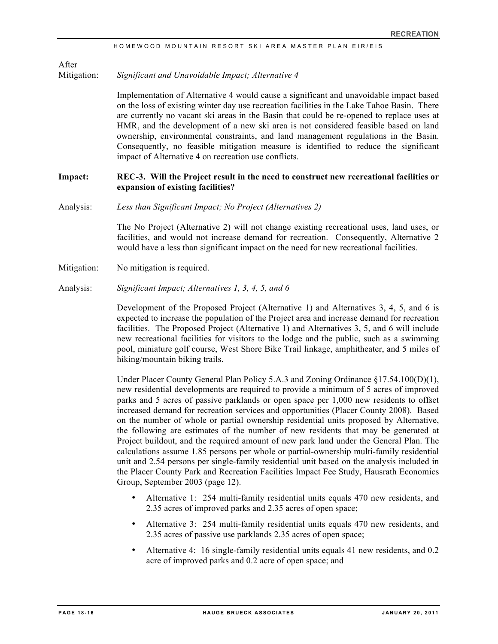After

Mitigation: *Significant and Unavoidable Impact; Alternative 4*

Implementation of Alternative 4 would cause a significant and unavoidable impact based on the loss of existing winter day use recreation facilities in the Lake Tahoe Basin. There are currently no vacant ski areas in the Basin that could be re-opened to replace uses at HMR, and the development of a new ski area is not considered feasible based on land ownership, environmental constraints, and land management regulations in the Basin. Consequently, no feasible mitigation measure is identified to reduce the significant impact of Alternative 4 on recreation use conflicts.

## **Impact: REC-3. Will the Project result in the need to construct new recreational facilities or expansion of existing facilities?**

Analysis: *Less than Significant Impact; No Project (Alternatives 2)*

The No Project (Alternative 2) will not change existing recreational uses, land uses, or facilities, and would not increase demand for recreation. Consequently, Alternative 2 would have a less than significant impact on the need for new recreational facilities.

- Mitigation: No mitigation is required.
- Analysis: *Significant Impact; Alternatives 1, 3, 4, 5, and 6*

Development of the Proposed Project (Alternative 1) and Alternatives 3, 4, 5, and 6 is expected to increase the population of the Project area and increase demand for recreation facilities. The Proposed Project (Alternative 1) and Alternatives 3, 5, and 6 will include new recreational facilities for visitors to the lodge and the public, such as a swimming pool, miniature golf course, West Shore Bike Trail linkage, amphitheater, and 5 miles of hiking/mountain biking trails.

Under Placer County General Plan Policy 5.A.3 and Zoning Ordinance §17.54.100(D)(1), new residential developments are required to provide a minimum of 5 acres of improved parks and 5 acres of passive parklands or open space per 1,000 new residents to offset increased demand for recreation services and opportunities (Placer County 2008). Based on the number of whole or partial ownership residential units proposed by Alternative, the following are estimates of the number of new residents that may be generated at Project buildout, and the required amount of new park land under the General Plan. The calculations assume 1.85 persons per whole or partial-ownership multi-family residential unit and 2.54 persons per single-family residential unit based on the analysis included in the Placer County Park and Recreation Facilities Impact Fee Study, Hausrath Economics Group, September 2003 (page 12).

- Alternative 1: 254 multi-family residential units equals 470 new residents, and 2.35 acres of improved parks and 2.35 acres of open space;
- Alternative 3: 254 multi-family residential units equals 470 new residents, and 2.35 acres of passive use parklands 2.35 acres of open space;
- Alternative 4: 16 single-family residential units equals 41 new residents, and 0.2 acre of improved parks and 0.2 acre of open space; and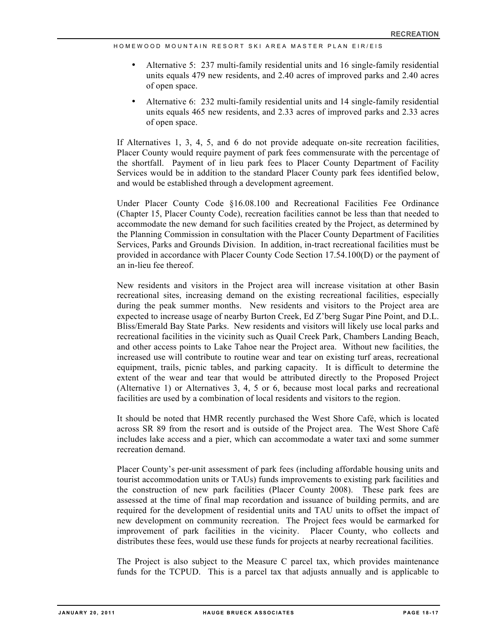- Alternative 5: 237 multi-family residential units and 16 single-family residential units equals 479 new residents, and 2.40 acres of improved parks and 2.40 acres of open space.
- Alternative 6: 232 multi-family residential units and 14 single-family residential units equals 465 new residents, and 2.33 acres of improved parks and 2.33 acres of open space.

If Alternatives 1, 3, 4, 5, and 6 do not provide adequate on-site recreation facilities, Placer County would require payment of park fees commensurate with the percentage of the shortfall. Payment of in lieu park fees to Placer County Department of Facility Services would be in addition to the standard Placer County park fees identified below, and would be established through a development agreement.

Under Placer County Code §16.08.100 and Recreational Facilities Fee Ordinance (Chapter 15, Placer County Code), recreation facilities cannot be less than that needed to accommodate the new demand for such facilities created by the Project, as determined by the Planning Commission in consultation with the Placer County Department of Facilities Services, Parks and Grounds Division. In addition, in-tract recreational facilities must be provided in accordance with Placer County Code Section 17.54.100(D) or the payment of an in-lieu fee thereof.

New residents and visitors in the Project area will increase visitation at other Basin recreational sites, increasing demand on the existing recreational facilities, especially during the peak summer months. New residents and visitors to the Project area are expected to increase usage of nearby Burton Creek, Ed Z'berg Sugar Pine Point, and D.L. Bliss/Emerald Bay State Parks. New residents and visitors will likely use local parks and recreational facilities in the vicinity such as Quail Creek Park, Chambers Landing Beach, and other access points to Lake Tahoe near the Project area. Without new facilities, the increased use will contribute to routine wear and tear on existing turf areas, recreational equipment, trails, picnic tables, and parking capacity. It is difficult to determine the extent of the wear and tear that would be attributed directly to the Proposed Project (Alternative 1) or Alternatives 3, 4, 5 or 6, because most local parks and recreational facilities are used by a combination of local residents and visitors to the region.

It should be noted that HMR recently purchased the West Shore Café, which is located across SR 89 from the resort and is outside of the Project area. The West Shore Café includes lake access and a pier, which can accommodate a water taxi and some summer recreation demand.

Placer County's per-unit assessment of park fees (including affordable housing units and tourist accommodation units or TAUs) funds improvements to existing park facilities and the construction of new park facilities (Placer County 2008). These park fees are assessed at the time of final map recordation and issuance of building permits, and are required for the development of residential units and TAU units to offset the impact of new development on community recreation. The Project fees would be earmarked for improvement of park facilities in the vicinity. Placer County, who collects and distributes these fees, would use these funds for projects at nearby recreational facilities.

The Project is also subject to the Measure C parcel tax, which provides maintenance funds for the TCPUD. This is a parcel tax that adjusts annually and is applicable to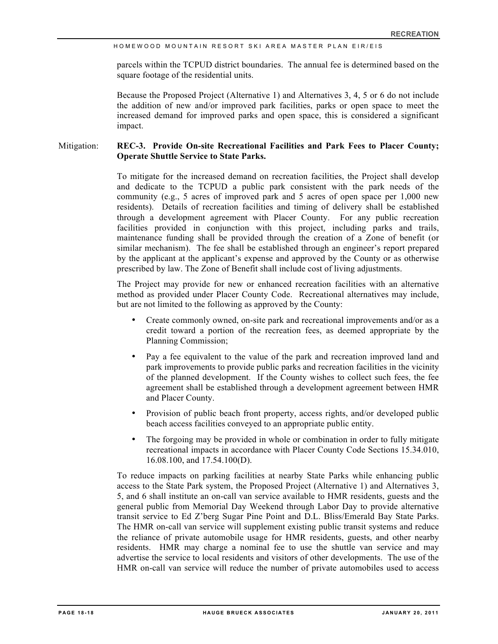parcels within the TCPUD district boundaries. The annual fee is determined based on the square footage of the residential units.

Because the Proposed Project (Alternative 1) and Alternatives 3, 4, 5 or 6 do not include the addition of new and/or improved park facilities, parks or open space to meet the increased demand for improved parks and open space, this is considered a significant impact.

## Mitigation: **REC-3. Provide On-site Recreational Facilities and Park Fees to Placer County; Operate Shuttle Service to State Parks.**

To mitigate for the increased demand on recreation facilities, the Project shall develop and dedicate to the TCPUD a public park consistent with the park needs of the community (e.g., 5 acres of improved park and 5 acres of open space per 1,000 new residents). Details of recreation facilities and timing of delivery shall be established through a development agreement with Placer County. For any public recreation facilities provided in conjunction with this project, including parks and trails, maintenance funding shall be provided through the creation of a Zone of benefit (or similar mechanism). The fee shall be established through an engineer's report prepared by the applicant at the applicant's expense and approved by the County or as otherwise prescribed by law. The Zone of Benefit shall include cost of living adjustments.

The Project may provide for new or enhanced recreation facilities with an alternative method as provided under Placer County Code. Recreational alternatives may include, but are not limited to the following as approved by the County:

- Create commonly owned, on-site park and recreational improvements and/or as a credit toward a portion of the recreation fees, as deemed appropriate by the Planning Commission;
- Pay a fee equivalent to the value of the park and recreation improved land and park improvements to provide public parks and recreation facilities in the vicinity of the planned development. If the County wishes to collect such fees, the fee agreement shall be established through a development agreement between HMR and Placer County.
- Provision of public beach front property, access rights, and/or developed public beach access facilities conveyed to an appropriate public entity.
- The forgoing may be provided in whole or combination in order to fully mitigate recreational impacts in accordance with Placer County Code Sections 15.34.010, 16.08.100, and 17.54.100(D).

To reduce impacts on parking facilities at nearby State Parks while enhancing public access to the State Park system, the Proposed Project (Alternative 1) and Alternatives 3, 5, and 6 shall institute an on-call van service available to HMR residents, guests and the general public from Memorial Day Weekend through Labor Day to provide alternative transit service to Ed Z'berg Sugar Pine Point and D.L. Bliss/Emerald Bay State Parks. The HMR on-call van service will supplement existing public transit systems and reduce the reliance of private automobile usage for HMR residents, guests, and other nearby residents. HMR may charge a nominal fee to use the shuttle van service and may advertise the service to local residents and visitors of other developments. The use of the HMR on-call van service will reduce the number of private automobiles used to access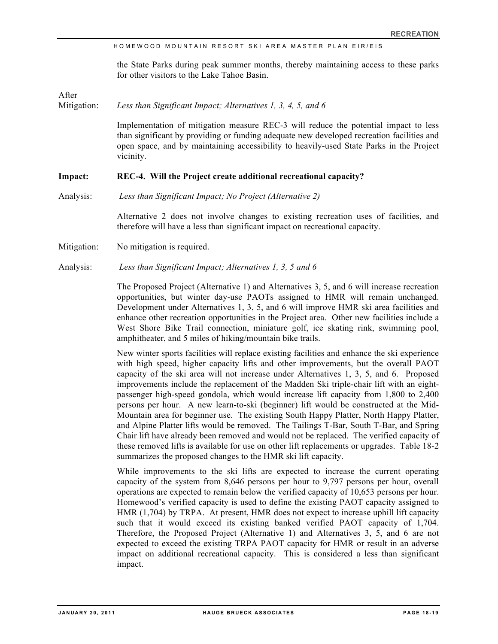the State Parks during peak summer months, thereby maintaining access to these parks for other visitors to the Lake Tahoe Basin.

#### After

Mitigation: *Less than Significant Impact; Alternatives 1, 3, 4, 5, and 6*

Implementation of mitigation measure REC-3 will reduce the potential impact to less than significant by providing or funding adequate new developed recreation facilities and open space, and by maintaining accessibility to heavily-used State Parks in the Project vicinity.

#### **Impact: REC-4. Will the Project create additional recreational capacity?**

Analysis: *Less than Significant Impact; No Project (Alternative 2)*

Alternative 2 does not involve changes to existing recreation uses of facilities, and therefore will have a less than significant impact on recreational capacity.

Mitigation: No mitigation is required.

Analysis: *Less than Significant Impact; Alternatives 1, 3, 5 and 6*

The Proposed Project (Alternative 1) and Alternatives 3, 5, and 6 will increase recreation opportunities, but winter day-use PAOTs assigned to HMR will remain unchanged. Development under Alternatives 1, 3, 5, and 6 will improve HMR ski area facilities and enhance other recreation opportunities in the Project area. Other new facilities include a West Shore Bike Trail connection, miniature golf, ice skating rink, swimming pool, amphitheater, and 5 miles of hiking/mountain bike trails.

New winter sports facilities will replace existing facilities and enhance the ski experience with high speed, higher capacity lifts and other improvements, but the overall PAOT capacity of the ski area will not increase under Alternatives 1, 3, 5, and 6. Proposed improvements include the replacement of the Madden Ski triple-chair lift with an eightpassenger high-speed gondola, which would increase lift capacity from 1,800 to 2,400 persons per hour. A new learn-to-ski (beginner) lift would be constructed at the Mid-Mountain area for beginner use. The existing South Happy Platter, North Happy Platter, and Alpine Platter lifts would be removed. The Tailings T-Bar, South T-Bar, and Spring Chair lift have already been removed and would not be replaced. The verified capacity of these removed lifts is available for use on other lift replacements or upgrades. Table 18-2 summarizes the proposed changes to the HMR ski lift capacity.

While improvements to the ski lifts are expected to increase the current operating capacity of the system from 8,646 persons per hour to 9,797 persons per hour, overall operations are expected to remain below the verified capacity of 10,653 persons per hour. Homewood's verified capacity is used to define the existing PAOT capacity assigned to HMR (1,704) by TRPA. At present, HMR does not expect to increase uphill lift capacity such that it would exceed its existing banked verified PAOT capacity of 1,704. Therefore, the Proposed Project (Alternative 1) and Alternatives 3, 5, and 6 are not expected to exceed the existing TRPA PAOT capacity for HMR or result in an adverse impact on additional recreational capacity. This is considered a less than significant impact.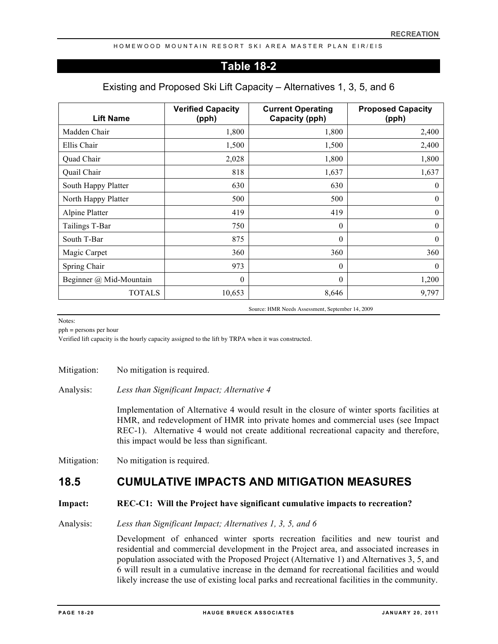## **Table 18-2**

## Existing and Proposed Ski Lift Capacity – Alternatives 1, 3, 5, and 6

| <b>Lift Name</b>        | <b>Verified Capacity</b><br>(pph) | <b>Current Operating</b><br>Capacity (pph) | <b>Proposed Capacity</b><br>(pph) |
|-------------------------|-----------------------------------|--------------------------------------------|-----------------------------------|
| Madden Chair            | 1,800                             | 1,800                                      | 2,400                             |
| Ellis Chair             | 1,500                             | 1,500                                      | 2,400                             |
| Quad Chair              | 2,028                             | 1,800                                      | 1,800                             |
| Quail Chair             | 818                               | 1,637                                      | 1,637                             |
| South Happy Platter     | 630                               | 630                                        | $\theta$                          |
| North Happy Platter     | 500                               | 500                                        | $\theta$                          |
| Alpine Platter          | 419                               | 419                                        | $\mathbf{0}$                      |
| Tailings T-Bar          | 750                               | $\theta$                                   | $\theta$                          |
| South T-Bar             | 875                               | $\theta$                                   | $\theta$                          |
| Magic Carpet            | 360                               | 360                                        | 360                               |
| Spring Chair            | 973                               | $\mathbf{0}$                               | $\theta$                          |
| Beginner @ Mid-Mountain | $\theta$                          | $\theta$                                   | 1,200                             |
| <b>TOTALS</b>           | 10,653                            | 8,646                                      | 9,797                             |

Source: HMR Needs Assessment, September 14, 2009

Notes:

pph = persons per hour

Verified lift capacity is the hourly capacity assigned to the lift by TRPA when it was constructed.

Mitigation: No mitigation is required.

Analysis: *Less than Significant Impact; Alternative 4*

Implementation of Alternative 4 would result in the closure of winter sports facilities at HMR, and redevelopment of HMR into private homes and commercial uses (see Impact REC-1). Alternative 4 would not create additional recreational capacity and therefore, this impact would be less than significant.

Mitigation: No mitigation is required.

## **18.5 CUMULATIVE IMPACTS AND MITIGATION MEASURES**

#### **Impact: REC-C1: Will the Project have significant cumulative impacts to recreation?**

Analysis: *Less than Significant Impact; Alternatives 1, 3, 5, and 6*

Development of enhanced winter sports recreation facilities and new tourist and residential and commercial development in the Project area, and associated increases in population associated with the Proposed Project (Alternative 1) and Alternatives 3, 5, and 6 will result in a cumulative increase in the demand for recreational facilities and would likely increase the use of existing local parks and recreational facilities in the community.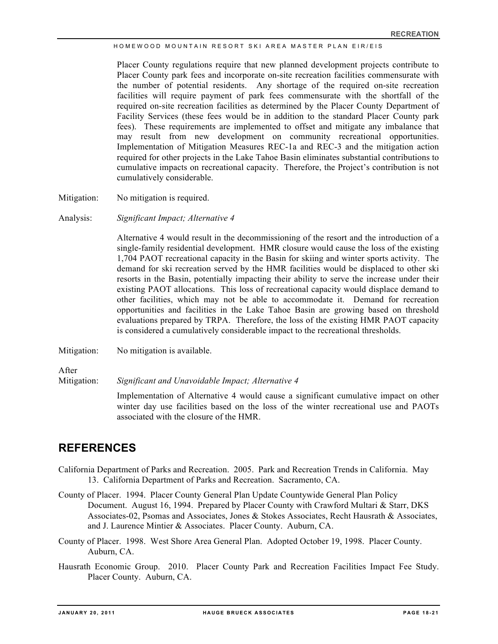Placer County regulations require that new planned development projects contribute to Placer County park fees and incorporate on-site recreation facilities commensurate with the number of potential residents. Any shortage of the required on-site recreation facilities will require payment of park fees commensurate with the shortfall of the required on-site recreation facilities as determined by the Placer County Department of Facility Services (these fees would be in addition to the standard Placer County park fees). These requirements are implemented to offset and mitigate any imbalance that may result from new development on community recreational opportunities. Implementation of Mitigation Measures REC-1a and REC-3 and the mitigation action required for other projects in the Lake Tahoe Basin eliminates substantial contributions to cumulative impacts on recreational capacity. Therefore, the Project's contribution is not cumulatively considerable.

Mitigation: No mitigation is required.

Analysis: *Significant Impact; Alternative 4*

Alternative 4 would result in the decommissioning of the resort and the introduction of a single-family residential development. HMR closure would cause the loss of the existing 1,704 PAOT recreational capacity in the Basin for skiing and winter sports activity. The demand for ski recreation served by the HMR facilities would be displaced to other ski resorts in the Basin, potentially impacting their ability to serve the increase under their existing PAOT allocations. This loss of recreational capacity would displace demand to other facilities, which may not be able to accommodate it. Demand for recreation opportunities and facilities in the Lake Tahoe Basin are growing based on threshold evaluations prepared by TRPA. Therefore, the loss of the existing HMR PAOT capacity is considered a cumulatively considerable impact to the recreational thresholds.

Mitigation: No mitigation is available.

After

Mitigation: *Significant and Unavoidable Impact; Alternative 4*

Implementation of Alternative 4 would cause a significant cumulative impact on other winter day use facilities based on the loss of the winter recreational use and PAOTs associated with the closure of the HMR.

## **REFERENCES**

- California Department of Parks and Recreation. 2005. Park and Recreation Trends in California. May 13. California Department of Parks and Recreation. Sacramento, CA.
- County of Placer. 1994. Placer County General Plan Update Countywide General Plan Policy Document. August 16, 1994. Prepared by Placer County with Crawford Multari & Starr, DKS Associates-02, Psomas and Associates, Jones & Stokes Associates, Recht Hausrath & Associates, and J. Laurence Mintier & Associates. Placer County. Auburn, CA.
- County of Placer. 1998. West Shore Area General Plan. Adopted October 19, 1998. Placer County. Auburn, CA.
- Hausrath Economic Group. 2010. Placer County Park and Recreation Facilities Impact Fee Study. Placer County. Auburn, CA.